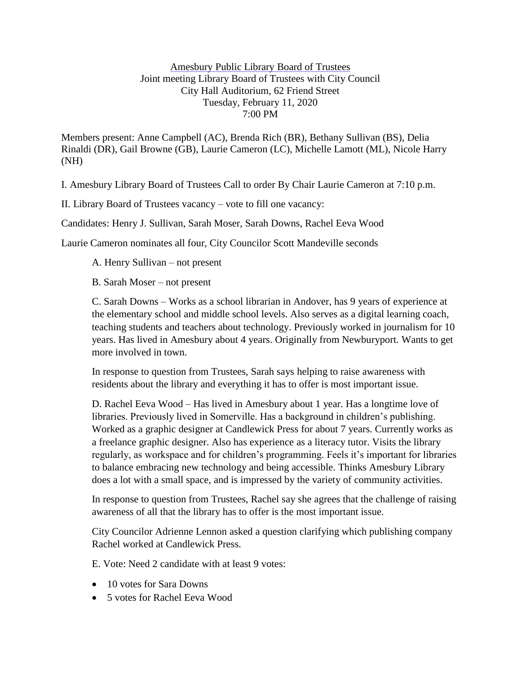## Amesbury Public Library Board of Trustees Joint meeting Library Board of Trustees with City Council City Hall Auditorium, 62 Friend Street Tuesday, February 11, 2020 7:00 PM

Members present: Anne Campbell (AC), Brenda Rich (BR), Bethany Sullivan (BS), Delia Rinaldi (DR), Gail Browne (GB), Laurie Cameron (LC), Michelle Lamott (ML), Nicole Harry (NH)

I. Amesbury Library Board of Trustees Call to order By Chair Laurie Cameron at 7:10 p.m.

II. Library Board of Trustees vacancy – vote to fill one vacancy:

Candidates: Henry J. Sullivan, Sarah Moser, Sarah Downs, Rachel Eeva Wood

Laurie Cameron nominates all four, City Councilor Scott Mandeville seconds

A. Henry Sullivan – not present

B. Sarah Moser – not present

C. Sarah Downs – Works as a school librarian in Andover, has 9 years of experience at the elementary school and middle school levels. Also serves as a digital learning coach, teaching students and teachers about technology. Previously worked in journalism for 10 years. Has lived in Amesbury about 4 years. Originally from Newburyport. Wants to get more involved in town.

In response to question from Trustees, Sarah says helping to raise awareness with residents about the library and everything it has to offer is most important issue.

D. Rachel Eeva Wood – Has lived in Amesbury about 1 year. Has a longtime love of libraries. Previously lived in Somerville. Has a background in children's publishing. Worked as a graphic designer at Candlewick Press for about 7 years. Currently works as a freelance graphic designer. Also has experience as a literacy tutor. Visits the library regularly, as workspace and for children's programming. Feels it's important for libraries to balance embracing new technology and being accessible. Thinks Amesbury Library does a lot with a small space, and is impressed by the variety of community activities.

In response to question from Trustees, Rachel say she agrees that the challenge of raising awareness of all that the library has to offer is the most important issue.

City Councilor Adrienne Lennon asked a question clarifying which publishing company Rachel worked at Candlewick Press.

E. Vote: Need 2 candidate with at least 9 votes:

- 10 votes for Sara Downs
- 5 votes for Rachel Eeva Wood